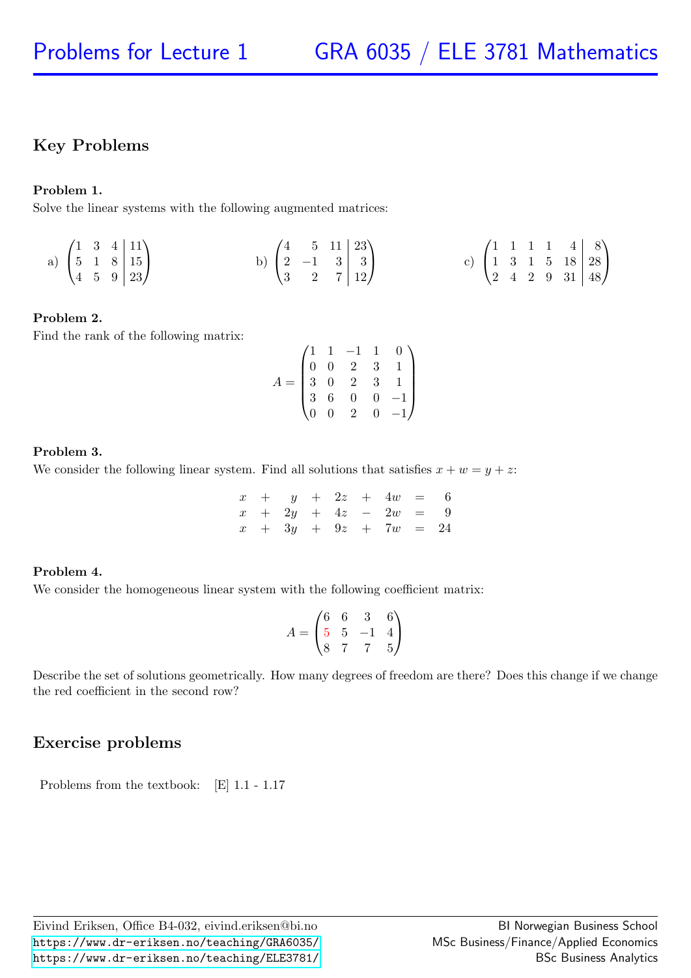# Key Problems

### Problem 1.

Solve the linear systems with the following augmented matrices:

a) 
$$
\begin{pmatrix} 1 & 3 & 4 & | & 11 \\ 5 & 1 & 8 & | & 15 \\ 4 & 5 & 9 & | & 23 \end{pmatrix}
$$
 b)  $\begin{pmatrix} 4 & 5 & 11 & | & 23 \\ 2 & -1 & 3 & | & 3 \\ 3 & 2 & 7 & | & 12 \end{pmatrix}$  c)  $\begin{pmatrix} 1 & 1 & 1 & 1 & 4 & | & 8 \\ 1 & 3 & 1 & 5 & 18 & | & 28 \\ 2 & 4 & 2 & 9 & 31 & | & 48 \end{pmatrix}$ 

### Problem 2.

Find the rank of the following matrix:

$$
A = \begin{pmatrix} 1 & 1 & -1 & 1 & 0 \\ 0 & 0 & 2 & 3 & 1 \\ 3 & 0 & 2 & 3 & 1 \\ 3 & 6 & 0 & 0 & -1 \\ 0 & 0 & 2 & 0 & -1 \end{pmatrix}
$$

#### Problem 3.

We consider the following linear system. Find all solutions that satisfies  $x + w = y + z$ :

|  |  |  | $x + y + 2z + 4w = 6$                                                   |  |
|--|--|--|-------------------------------------------------------------------------|--|
|  |  |  | $x + 2y + 4z - 2w = 9$                                                  |  |
|  |  |  | $x \quad + \quad 3y \quad + \quad 9z \quad + \quad 7w \quad = \quad 24$ |  |

### Problem 4.

We consider the homogeneous linear system with the following coefficient matrix:

$$
A = \begin{pmatrix} 6 & 6 & 3 & 6 \\ 5 & 5 & -1 & 4 \\ 8 & 7 & 7 & 5 \end{pmatrix}
$$

Describe the set of solutions geometrically. How many degrees of freedom are there? Does this change if we change the red coefficient in the second row?

# Exercise problems

Problems from the textbook: [E] 1.1 - 1.17